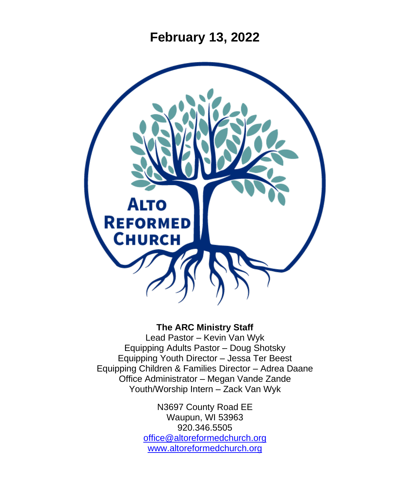**February 13, 2022**



#### **The ARC Ministry Staff**

Lead Pastor – Kevin Van Wyk Equipping Adults Pastor – Doug Shotsky Equipping Youth Director – Jessa Ter Beest Equipping Children & Families Director – Adrea Daane Office Administrator – Megan Vande Zande Youth/Worship Intern – Zack Van Wyk

> N3697 County Road EE Waupun, WI 53963 920.346.5505 [office@altoreformedchurch.org](mailto:office@altoreformedchurch.org) [www.altoreformedchurch.org](http://www.altoreformedchurch.org/)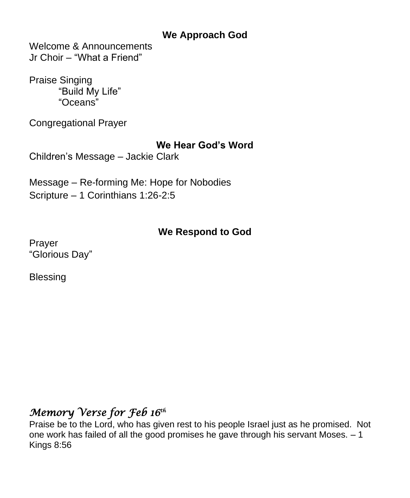## **We Approach God**

Welcome & Announcements Jr Choir – "What a Friend"

Praise Singing "Build My Life" "Oceans"

Congregational Prayer

### **We Hear God's Word**

Children's Message – Jackie Clark

Message – Re-forming Me: Hope for Nobodies Scripture – 1 Corinthians 1:26-2:5

### **We Respond to God**

Prayer "Glorious Day"

Blessing

# *Memory Verse for Feb 16th*

Praise be to the Lord, who has given rest to his people Israel just as he promised. Not one work has failed of all the good promises he gave through his servant Moses. – 1 Kings 8:56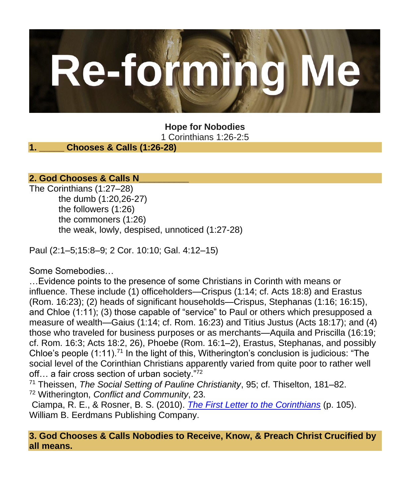

**Hope for Nobodies** 1 Corinthians 1:26-2:5

### **1. \_\_\_\_\_ Chooses & Calls (1:26-28)**

### **2. God Chooses & Calls N\_\_\_\_\_\_\_\_\_\_**

The Corinthians (1:27–28) the dumb (1:20,26-27) the followers (1:26) the commoners (1:26) the weak, lowly, despised, unnoticed (1:27-28)

Paul (2:1–5;15:8–9; 2 Cor. 10:10; Gal. 4:12–15)

Some Somebodies…

…Evidence points to the presence of some Christians in Corinth with means or influence. These include (1) officeholders—Crispus (1:14; cf. Acts 18:8) and Erastus (Rom. 16:23); (2) heads of significant households—Crispus, Stephanas (1:16; 16:15), and Chloe (1:11); (3) those capable of "service" to Paul or others which presupposed a measure of wealth—Gaius (1:14; cf. Rom. 16:23) and Titius Justus (Acts 18:17); and (4) those who traveled for business purposes or as merchants—Aquila and Priscilla (16:19; cf. Rom. 16:3; Acts 18:2, 26), Phoebe (Rom. 16:1–2), Erastus, Stephanas, and possibly Chloe's people  $(1:11)$ .<sup>71</sup> In the light of this, Witherington's conclusion is judicious: "The social level of the Corinthian Christians apparently varied from quite poor to rather well off... a fair cross section of urban society."<sup>72</sup>

<sup>71</sup> Theissen, *The Social Setting of Pauline Christianity*, 95; cf. Thiselton, 181–82. <sup>72</sup> Witherington, *Conflict and Community*, 23.

Ciampa, R. E., & Rosner, B. S. (2010). *[The First Letter to the Corinthians](https://na01.safelinks.protection.outlook.com/?url=https%3A%2F%2Fref.ly%2Flogosres%2Fpntccor1%3Fref%3DBible.1Co1.26%26off%3D4946%26ctx%3D%25E2%2580%259Cnot%2Bany.%25E2%2580%259D%2BIn%2Bfact%252c%2B~evidence%2Bpoints%2Bto%2Bt&data=04%7C01%7C%7C35373524680b40c50a7b08d9ed07b231%7C84df9e7fe9f640afb435aaaaaaaaaaaa%7C1%7C0%7C637801439591728791%7CUnknown%7CTWFpbGZsb3d8eyJWIjoiMC4wLjAwMDAiLCJQIjoiV2luMzIiLCJBTiI6Ik1haWwiLCJXVCI6Mn0%3D%7C3000&sdata=NWtuBkArzf6CJfzFSHikEYBfq9AtlW2UQeRTkcYjbBw%3D&reserved=0)* (p. 105). William B. Eerdmans Publishing Company.

**3. God Chooses & Calls Nobodies to Receive, Know, & Preach Christ Crucified by all means.**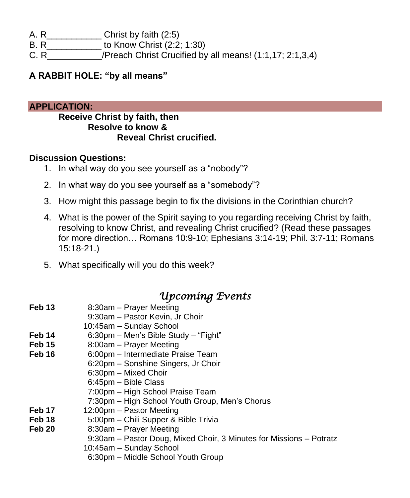- A. R\_\_\_\_\_\_\_\_\_\_\_ Christ by faith (2:5)
- B. R\_\_\_\_\_\_\_\_\_\_\_ to Know Christ (2:2; 1:30)
- C. R\_\_\_\_\_\_\_\_\_\_\_/Preach Christ Crucified by all means! (1:1,17; 2:1,3,4)

#### **A RABBIT HOLE: "by all means"**

#### **APPLICATION:**

#### **Receive Christ by faith, then Resolve to know & Reveal Christ crucified.**

#### **Discussion Questions:**

- 1. In what way do you see yourself as a "nobody"?
- 2. In what way do you see yourself as a "somebody"?
- 3. How might this passage begin to fix the divisions in the Corinthian church?
- 4. What is the power of the Spirit saying to you regarding receiving Christ by faith, resolving to know Christ, and revealing Christ crucified? (Read these passages for more direction… Romans 10:9-10; Ephesians 3:14-19; Phil. 3:7-11; Romans 15:18-21.)
- 5. What specifically will you do this week?

## *Upcoming Events*

| Feb 13 | 8:30am - Prayer Meeting                                             |
|--------|---------------------------------------------------------------------|
|        | 9:30am - Pastor Kevin, Jr Choir                                     |
|        | 10:45am - Sunday School                                             |
| Feb 14 | 6:30pm - Men's Bible Study - "Fight"                                |
| Feb 15 | 8:00am - Prayer Meeting                                             |
| Feb 16 | 6:00pm - Intermediate Praise Team                                   |
|        | 6:20pm - Sonshine Singers, Jr Choir                                 |
|        | 6:30pm - Mixed Choir                                                |
|        | 6:45pm - Bible Class                                                |
|        | 7:00pm - High School Praise Team                                    |
|        | 7:30pm - High School Youth Group, Men's Chorus                      |
| Feb 17 | 12:00pm – Pastor Meeting                                            |
| Feb 18 | 5:00pm - Chili Supper & Bible Trivia                                |
| Feb 20 | 8:30am – Prayer Meeting                                             |
|        | 9:30am - Pastor Doug, Mixed Choir, 3 Minutes for Missions - Potratz |
|        | 10:45am - Sunday School                                             |
|        | 6:30pm - Middle School Youth Group                                  |
|        |                                                                     |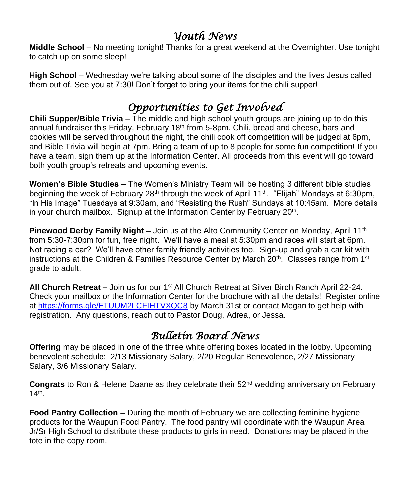## *Youth News*

**Middle School** – No meeting tonight! Thanks for a great weekend at the Overnighter. Use tonight to catch up on some sleep!

**High School** – Wednesday we're talking about some of the disciples and the lives Jesus called them out of. See you at 7:30! Don't forget to bring your items for the chili supper!

## *Opportunities to Get Involved*

**Chili Supper/Bible Trivia** – The middle and high school youth groups are joining up to do this annual fundraiser this Friday, February 18<sup>th</sup> from 5-8pm. Chili, bread and cheese, bars and cookies will be served throughout the night, the chili cook off competition will be judged at 6pm, and Bible Trivia will begin at 7pm. Bring a team of up to 8 people for some fun competition! If you have a team, sign them up at the Information Center. All proceeds from this event will go toward both youth group's retreats and upcoming events.

**Women's Bible Studies –** The Women's Ministry Team will be hosting 3 different bible studies beginning the week of February 28<sup>th</sup> through the week of April 11<sup>th</sup>. "Elijah" Mondays at 6:30pm, "In His Image" Tuesdays at 9:30am, and "Resisting the Rush" Sundays at 10:45am. More details in your church mailbox. Signup at the Information Center by February 20<sup>th</sup>.

**Pinewood Derby Family Night –** Join us at the Alto Community Center on Monday, April 11<sup>th</sup> from 5:30-7:30pm for fun, free night. We'll have a meal at 5:30pm and races will start at 6pm. Not racing a car? We'll have other family friendly activities too. Sign-up and grab a car kit with instructions at the Children & Families Resource Center by March  $20<sup>th</sup>$ . Classes range from  $1<sup>st</sup>$ grade to adult.

**All Church Retreat –** Join us for our 1st All Church Retreat at Silver Birch Ranch April 22-24. Check your mailbox or the Information Center for the brochure with all the details! Register online at<https://forms.gle/ETUUM2LCFIHTVXQC8> by March 31st or contact Megan to get help with registration. Any questions, reach out to Pastor Doug, Adrea, or Jessa.

## *Bulletin Board News*

**Offering** may be placed in one of the three white offering boxes located in the lobby. Upcoming benevolent schedule: 2/13 Missionary Salary, 2/20 Regular Benevolence, 2/27 Missionary Salary, 3/6 Missionary Salary.

Congrats to Ron & Helene Daane as they celebrate their 52<sup>nd</sup> wedding anniversary on February 14th .

**Food Pantry Collection –** During the month of February we are collecting feminine hygiene products for the Waupun Food Pantry. The food pantry will coordinate with the Waupun Area Jr/Sr High School to distribute these products to girls in need. Donations may be placed in the tote in the copy room.